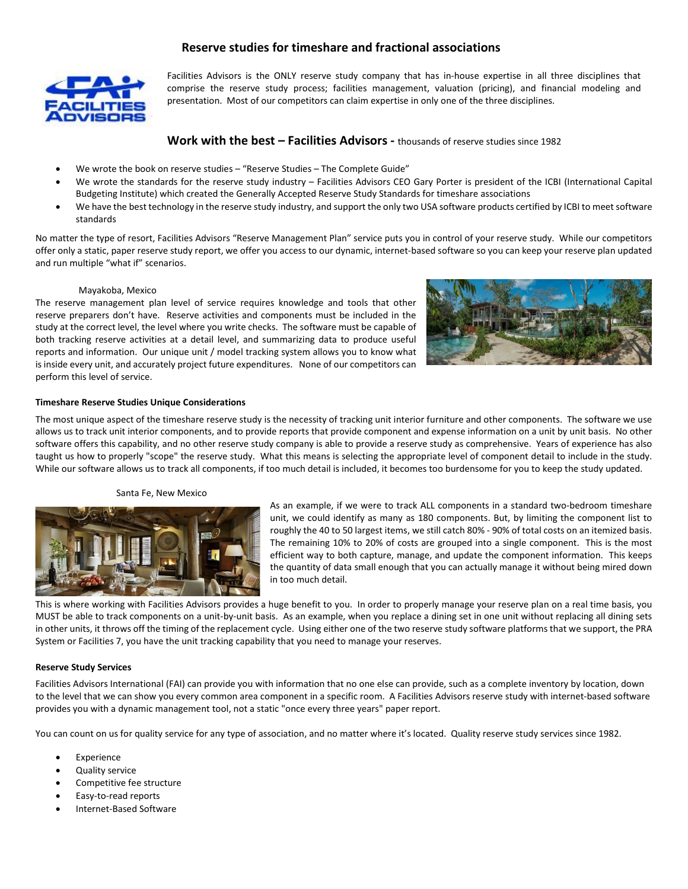# **Reserve studies for timeshare and fractional associations**



Facilities Advisors is the ONLY reserve study company that has in-house expertise in all three disciplines that comprise the reserve study process; facilities management, valuation (pricing), and financial modeling and presentation. Most of our competitors can claim expertise in only one of the three disciplines.

# **Work with the best – Facilities Advisors -** thousands of reserve studies since 1982

- We wrote the book on reserve studies "Reserve Studies The Complete Guide"
- We wrote the standards for the reserve study industry Facilities Advisors CEO Gary Porter is president of the ICBI (International Capital Budgeting Institute) which created the Generally Accepted Reserve Study Standards for timeshare associations
- We have the best technology in the reserve study industry, and support the only two USA software products certified by ICBI to meet software standards

No matter the type of resort, Facilities Advisors "Reserve Management Plan" service puts you in control of your reserve study. While our competitors offer only a static, paper reserve study report, we offer you access to our dynamic, internet-based software so you can keep your reserve plan updated and run multiple "what if" scenarios.

## Mayakoba, Mexico

The reserve management plan level of service requires knowledge and tools that other reserve preparers don't have. Reserve activities and components must be included in the study at the correct level, the level where you write checks. The software must be capable of both tracking reserve activities at a detail level, and summarizing data to produce useful reports and information. Our unique unit / model tracking system allows you to know what is inside every unit, and accurately project future expenditures. None of our competitors can perform this level of service.



# **Timeshare Reserve Studies Unique Considerations**

The most unique aspect of the timeshare reserve study is the necessity of tracking unit interior furniture and other components. The software we use allows us to track unit interior components, and to provide reports that provide component and expense information on a unit by unit basis. No other software offers this capability, and no other reserve study company is able to provide a reserve study as comprehensive. Years of experience has also taught us how to properly "scope" the reserve study. What this means is selecting the appropriate level of component detail to include in the study. While our software allows us to track all components, if too much detail is included, it becomes too burdensome for you to keep the study updated.

# Santa Fe, New Mexico



As an example, if we were to track ALL components in a standard two-bedroom timeshare unit, we could identify as many as 180 components. But, by limiting the component list to roughly the 40 to 50 largest items, we still catch 80% - 90% of total costs on an itemized basis. The remaining 10% to 20% of costs are grouped into a single component. This is the most efficient way to both capture, manage, and update the component information. This keeps the quantity of data small enough that you can actually manage it without being mired down in too much detail.

This is where working with Facilities Advisors provides a huge benefit to you. In order to properly manage your reserve plan on a real time basis, you MUST be able to track components on a unit-by-unit basis. As an example, when you replace a dining set in one unit without replacing all dining sets in other units, it throws off the timing of the replacement cycle. Using either one of the two reserve study software platforms that we support, the PRA System or Facilities 7, you have the unit tracking capability that you need to manage your reserves.

#### **Reserve Study Services**

Facilities Advisors International (FAI) can provide you with information that no one else can provide, such as a complete inventory by location, down to the level that we can show you every common area component in a specific room. A Facilities Advisors reserve study with internet-based software provides you with a dynamic management tool, not a static "once every three years" paper report.

You can count on us for quality service for any type of association, and no matter where it's located. Quality reserve study services since 1982.

- **Experience**
- Quality service
- Competitive fee structure
- Easy-to-read reports
- Internet-Based Software